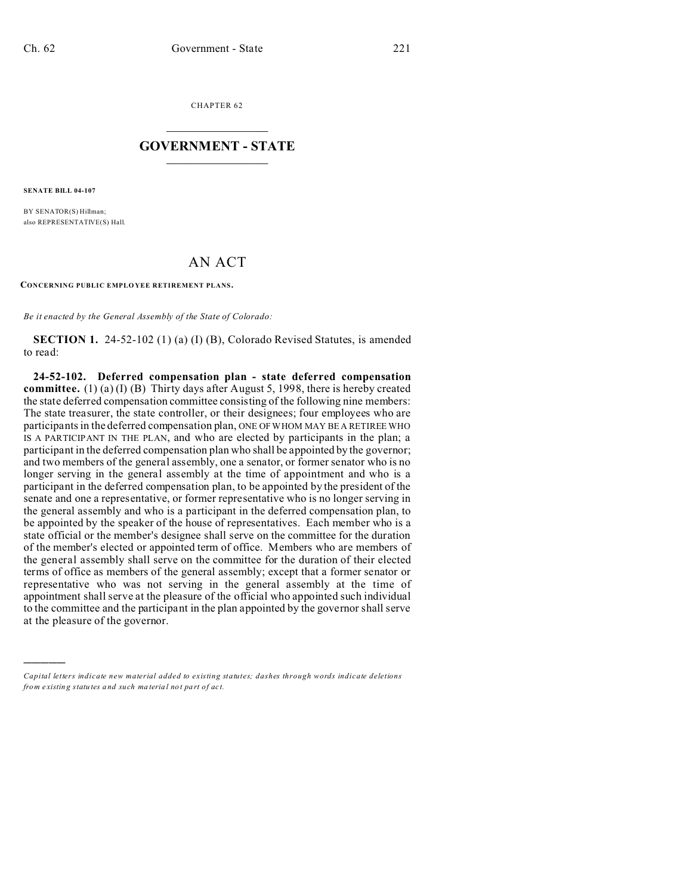CHAPTER 62  $\overline{\phantom{a}}$  , where  $\overline{\phantom{a}}$ 

## **GOVERNMENT - STATE**  $\_$   $\_$

**SENATE BILL 04-107**

)))))

BY SENATOR(S) Hillman; also REPRESENTATIVE(S) Hall.

## AN ACT

**CONCERNING PUBLIC EMPLO YEE RETIREMENT PLANS.**

*Be it enacted by the General Assembly of the State of Colorado:*

**SECTION 1.** 24-52-102 (1) (a) (I) (B), Colorado Revised Statutes, is amended to read:

**24-52-102. Deferred compensation plan - state deferred compensation committee.** (1) (a) (I) (B) Thirty days after August 5, 1998, there is hereby created the state deferred compensation committee consisting of the following nine members: The state treasurer, the state controller, or their designees; four employees who are participants in the deferred compensation plan, ONE OF WHOM MAY BE A RETIREE WHO IS A PARTICIPANT IN THE PLAN, and who are elected by participants in the plan; a participant in the deferred compensation plan who shall be appointed by the governor; and two members of the general assembly, one a senator, or former senator who is no longer serving in the general assembly at the time of appointment and who is a participant in the deferred compensation plan, to be appointed by the president of the senate and one a representative, or former representative who is no longer serving in the general assembly and who is a participant in the deferred compensation plan, to be appointed by the speaker of the house of representatives. Each member who is a state official or the member's designee shall serve on the committee for the duration of the member's elected or appointed term of office. Members who are members of the general assembly shall serve on the committee for the duration of their elected terms of office as members of the general assembly; except that a former senator or representative who was not serving in the general assembly at the time of appointment shall serve at the pleasure of the official who appointed such individual to the committee and the participant in the plan appointed by the governor shall serve at the pleasure of the governor.

*Capital letters indicate new material added to existing statutes; dashes through words indicate deletions from e xistin g statu tes a nd such ma teria l no t pa rt of ac t.*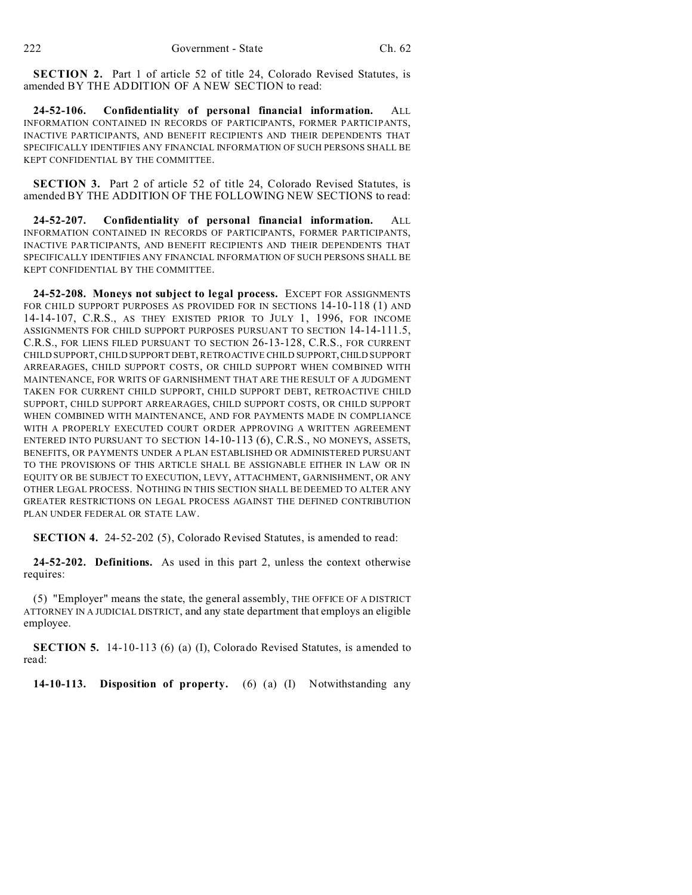**SECTION 2.** Part 1 of article 52 of title 24, Colorado Revised Statutes, is amended BY THE ADDITION OF A NEW SECTION to read:

**24-52-106. Confidentiality of personal financial information.** ALL INFORMATION CONTAINED IN RECORDS OF PARTICIPANTS, FORMER PARTICIPANTS, INACTIVE PARTICIPANTS, AND BENEFIT RECIPIENTS AND THEIR DEPENDENTS THAT SPECIFICALLY IDENTIFIES ANY FINANCIAL INFORMATION OF SUCH PERSONS SHALL BE KEPT CONFIDENTIAL BY THE COMMITTEE.

**SECTION 3.** Part 2 of article 52 of title 24, Colorado Revised Statutes, is amended BY THE ADDITION OF THE FOLLOWING NEW SECTIONS to read:

**24-52-207. Confidentiality of personal financial information.** ALL INFORMATION CONTAINED IN RECORDS OF PARTICIPANTS, FORMER PARTICIPANTS, INACTIVE PARTICIPANTS, AND BENEFIT RECIPIENTS AND THEIR DEPENDENTS THAT SPECIFICALLY IDENTIFIES ANY FINANCIAL INFORMATION OF SUCH PERSONS SHALL BE KEPT CONFIDENTIAL BY THE COMMITTEE.

**24-52-208. Moneys not subject to legal process.** EXCEPT FOR ASSIGNMENTS FOR CHILD SUPPORT PURPOSES AS PROVIDED FOR IN SECTIONS 14-10-118 (1) AND 14-14-107, C.R.S., AS THEY EXISTED PRIOR TO JULY 1, 1996, FOR INCOME ASSIGNMENTS FOR CHILD SUPPORT PURPOSES PURSUANT TO SECTION 14-14-111.5, C.R.S., FOR LIENS FILED PURSUANT TO SECTION 26-13-128, C.R.S., FOR CURRENT CHILD SUPPORT, CHILD SUPPORT DEBT, RETROACTIVE CHILD SUPPORT,CHILD SUPPORT ARREARAGES, CHILD SUPPORT COSTS, OR CHILD SUPPORT WHEN COMBINED WITH MAINTENANCE, FOR WRITS OF GARNISHMENT THAT ARE THE RESULT OF A JUDGMENT TAKEN FOR CURRENT CHILD SUPPORT, CHILD SUPPORT DEBT, RETROACTIVE CHILD SUPPORT, CHILD SUPPORT ARREARAGES, CHILD SUPPORT COSTS, OR CHILD SUPPORT WHEN COMBINED WITH MAINTENANCE, AND FOR PAYMENTS MADE IN COMPLIANCE WITH A PROPERLY EXECUTED COURT ORDER APPROVING A WRITTEN AGREEMENT ENTERED INTO PURSUANT TO SECTION 14-10-113 (6), C.R.S., NO MONEYS, ASSETS, BENEFITS, OR PAYMENTS UNDER A PLAN ESTABLISHED OR ADMINISTERED PURSUANT TO THE PROVISIONS OF THIS ARTICLE SHALL BE ASSIGNABLE EITHER IN LAW OR IN EQUITY OR BE SUBJECT TO EXECUTION, LEVY, ATTACHMENT, GARNISHMENT, OR ANY OTHER LEGAL PROCESS. NOTHING IN THIS SECTION SHALL BE DEEMED TO ALTER ANY GREATER RESTRICTIONS ON LEGAL PROCESS AGAINST THE DEFINED CONTRIBUTION PLAN UNDER FEDERAL OR STATE LAW.

**SECTION 4.** 24-52-202 (5), Colorado Revised Statutes, is amended to read:

**24-52-202. Definitions.** As used in this part 2, unless the context otherwise requires:

(5) "Employer" means the state, the general assembly, THE OFFICE OF A DISTRICT ATTORNEY IN A JUDICIAL DISTRICT, and any state department that employs an eligible employee.

**SECTION 5.** 14-10-113 (6) (a) (I), Colorado Revised Statutes, is amended to read:

**14-10-113. Disposition of property.** (6) (a) (I) Notwithstanding any